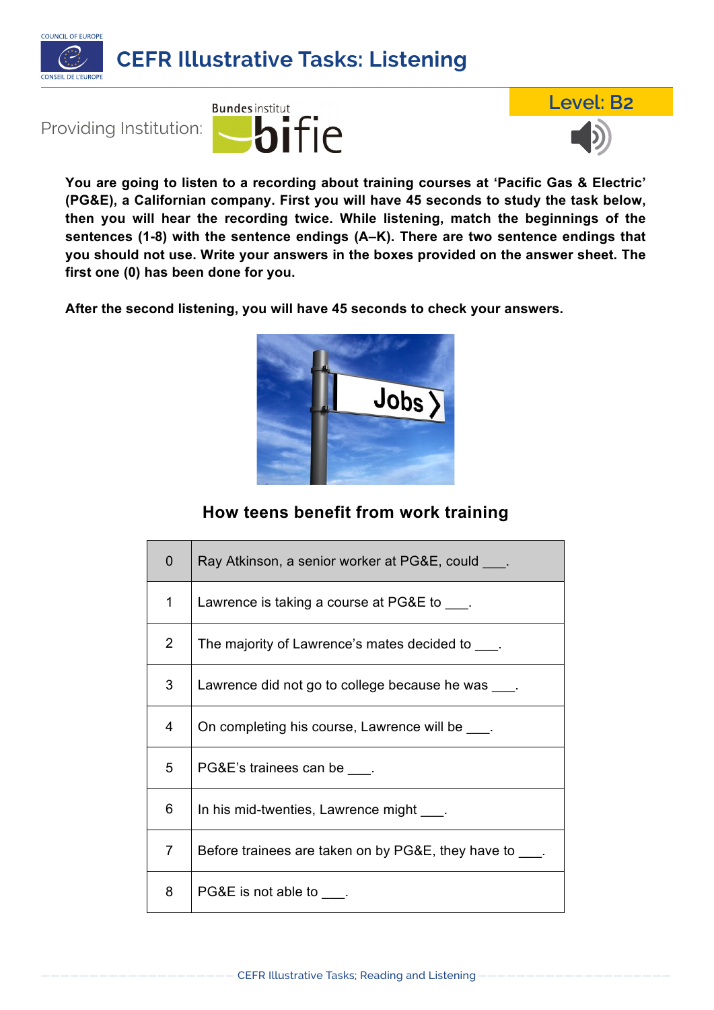







**You are going to listen to a recording about training courses at 'Pacific Gas & Electric' (PG&E), a Californian company. First you will have 45 seconds to study the task below, then you will hear the recording twice. While listening, match the beginnings of the sentences (1-8) with the sentence endings (A–K). There are two sentence endings that you should not use. Write your answers in the boxes provided on the answer sheet. The first one (0) has been done for you.**

**After the second listening, you will have 45 seconds to check your answers.**



## **How teens benefit from work training**

| $\overline{0}$ | Ray Atkinson, a senior worker at PG&E, could ____.       |
|----------------|----------------------------------------------------------|
| 1              | Lawrence is taking a course at PG&E to ____.             |
| $\overline{2}$ | The majority of Lawrence's mates decided to ____.        |
| 3              | Lawrence did not go to college because he was ____.      |
| 4              | On completing his course, Lawrence will be               |
| 5              | PG&E's trainees can be ____.                             |
| 6              | In his mid-twenties, Lawrence might ____.                |
| $\overline{7}$ | Before trainees are taken on by PG&E, they have to ____. |
| 8              | PG&E is not able to ____.                                |